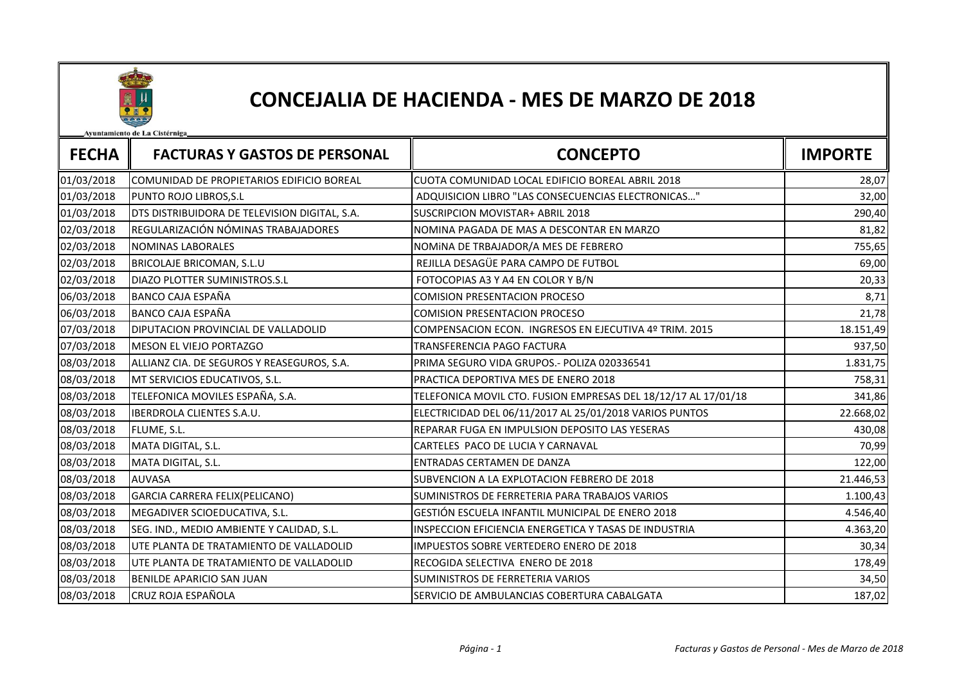

## CONCEJALIA DE HACIENDA - MES DE MARZO DE 2018

niento de La Cistérnica

| <b>FECHA</b> | <b>FACTURAS Y GASTOS DE PERSONAL</b>          | <b>CONCEPTO</b>                                                | <b>IMPORTE</b> |
|--------------|-----------------------------------------------|----------------------------------------------------------------|----------------|
| 01/03/2018   | COMUNIDAD DE PROPIETARIOS EDIFICIO BOREAL     | CUOTA COMUNIDAD LOCAL EDIFICIO BOREAL ABRIL 2018               | 28,07          |
| 01/03/2018   | PUNTO ROJO LIBROS, S.L                        | ADQUISICION LIBRO "LAS CONSECUENCIAS ELECTRONICAS"             | 32,00          |
| 01/03/2018   | DTS DISTRIBUIDORA DE TELEVISION DIGITAL, S.A. | <b>SUSCRIPCION MOVISTAR+ ABRIL 2018</b>                        | 290,40         |
| 02/03/2018   | REGULARIZACIÓN NÓMINAS TRABAJADORES           | NOMINA PAGADA DE MAS A DESCONTAR EN MARZO                      | 81,82          |
| 02/03/2018   | <b>NOMINAS LABORALES</b>                      | NOMINA DE TRBAJADOR/A MES DE FEBRERO                           | 755,65         |
| 02/03/2018   | BRICOLAJE BRICOMAN, S.L.U                     | REJILLA DESAGÜE PARA CAMPO DE FUTBOL                           | 69,00          |
| 02/03/2018   | DIAZO PLOTTER SUMINISTROS.S.L                 | FOTOCOPIAS A3 Y A4 EN COLOR Y B/N                              | 20,33          |
| 06/03/2018   | <b>BANCO CAJA ESPAÑA</b>                      | <b>COMISION PRESENTACION PROCESO</b>                           | 8,71           |
| 06/03/2018   | <b>BANCO CAJA ESPAÑA</b>                      | <b>COMISION PRESENTACION PROCESO</b>                           | 21,78          |
| 07/03/2018   | DIPUTACION PROVINCIAL DE VALLADOLID           | COMPENSACION ECON. INGRESOS EN EJECUTIVA 4º TRIM. 2015         | 18.151,49      |
| 07/03/2018   | MESON EL VIEJO PORTAZGO                       | TRANSFERENCIA PAGO FACTURA                                     | 937,50         |
| 08/03/2018   | ALLIANZ CIA. DE SEGUROS Y REASEGUROS, S.A.    | PRIMA SEGURO VIDA GRUPOS .- POLIZA 020336541                   | 1.831,75       |
| 08/03/2018   | MT SERVICIOS EDUCATIVOS, S.L.                 | PRACTICA DEPORTIVA MES DE ENERO 2018                           | 758,31         |
| 08/03/2018   | TELEFONICA MOVILES ESPAÑA, S.A.               | TELEFONICA MOVIL CTO. FUSION EMPRESAS DEL 18/12/17 AL 17/01/18 | 341,86         |
| 08/03/2018   | <b>IBERDROLA CLIENTES S.A.U.</b>              | ELECTRICIDAD DEL 06/11/2017 AL 25/01/2018 VARIOS PUNTOS        | 22.668,02      |
| 08/03/2018   | FLUME, S.L.                                   | REPARAR FUGA EN IMPULSION DEPOSITO LAS YESERAS                 | 430,08         |
| 08/03/2018   | MATA DIGITAL, S.L.                            | CARTELES PACO DE LUCIA Y CARNAVAL                              | 70,99          |
| 08/03/2018   | MATA DIGITAL, S.L.                            | ENTRADAS CERTAMEN DE DANZA                                     | 122,00         |
| 08/03/2018   | <b>AUVASA</b>                                 | SUBVENCION A LA EXPLOTACION FEBRERO DE 2018                    | 21.446,53      |
| 08/03/2018   | GARCIA CARRERA FELIX(PELICANO)                | SUMINISTROS DE FERRETERIA PARA TRABAJOS VARIOS                 | 1.100,43       |
| 08/03/2018   | MEGADIVER SCIOEDUCATIVA, S.L.                 | GESTIÓN ESCUELA INFANTIL MUNICIPAL DE ENERO 2018               | 4.546,40       |
| 08/03/2018   | SEG. IND., MEDIO AMBIENTE Y CALIDAD, S.L.     | INSPECCION EFICIENCIA ENERGETICA Y TASAS DE INDUSTRIA          | 4.363,20       |
| 08/03/2018   | UTE PLANTA DE TRATAMIENTO DE VALLADOLID       | <b>IMPUESTOS SOBRE VERTEDERO ENERO DE 2018</b>                 | 30,34          |
| 08/03/2018   | UTE PLANTA DE TRATAMIENTO DE VALLADOLID       | RECOGIDA SELECTIVA ENERO DE 2018                               | 178,49         |
| 08/03/2018   | BENILDE APARICIO SAN JUAN                     | SUMINISTROS DE FERRETERIA VARIOS                               | 34,50          |
| 08/03/2018   | <b>CRUZ ROJA ESPAÑOLA</b>                     | SERVICIO DE AMBULANCIAS COBERTURA CABALGATA                    | 187,02         |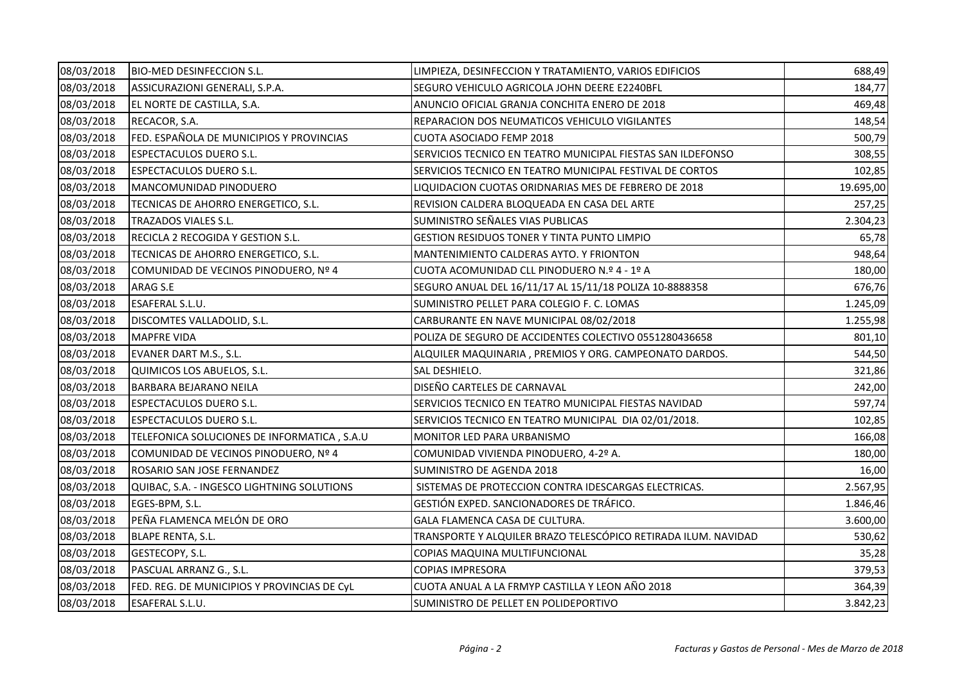| 08/03/2018 | <b>BIO-MED DESINFECCION S.L.</b>            | LIMPIEZA, DESINFECCION Y TRATAMIENTO, VARIOS EDIFICIOS         | 688,49    |
|------------|---------------------------------------------|----------------------------------------------------------------|-----------|
| 08/03/2018 | ASSICURAZIONI GENERALI, S.P.A.              | SEGURO VEHICULO AGRICOLA JOHN DEERE E2240BFL                   | 184,77    |
| 08/03/2018 | EL NORTE DE CASTILLA, S.A.                  | ANUNCIO OFICIAL GRANJA CONCHITA ENERO DE 2018                  | 469,48    |
| 08/03/2018 | RECACOR, S.A.                               | REPARACION DOS NEUMATICOS VEHICULO VIGILANTES                  | 148,54    |
| 08/03/2018 | FED. ESPAÑOLA DE MUNICIPIOS Y PROVINCIAS    | <b>CUOTA ASOCIADO FEMP 2018</b>                                | 500,79    |
| 08/03/2018 | <b>ESPECTACULOS DUERO S.L.</b>              | SERVICIOS TECNICO EN TEATRO MUNICIPAL FIESTAS SAN ILDEFONSO    | 308,55    |
| 08/03/2018 | <b>ESPECTACULOS DUERO S.L.</b>              | SERVICIOS TECNICO EN TEATRO MUNICIPAL FESTIVAL DE CORTOS       | 102,85    |
| 08/03/2018 | MANCOMUNIDAD PINODUERO                      | LIQUIDACION CUOTAS ORIDNARIAS MES DE FEBRERO DE 2018           | 19.695,00 |
| 08/03/2018 | TECNICAS DE AHORRO ENERGETICO, S.L.         | REVISION CALDERA BLOQUEADA EN CASA DEL ARTE                    | 257,25    |
| 08/03/2018 | TRAZADOS VIALES S.L.                        | SUMINISTRO SEÑALES VIAS PUBLICAS                               | 2.304,23  |
| 08/03/2018 | RECICLA 2 RECOGIDA Y GESTION S.L.           | <b>GESTION RESIDUOS TONER Y TINTA PUNTO LIMPIO</b>             | 65,78     |
| 08/03/2018 | TECNICAS DE AHORRO ENERGETICO, S.L.         | MANTENIMIENTO CALDERAS AYTO. Y FRIONTON                        | 948,64    |
| 08/03/2018 | COMUNIDAD DE VECINOS PINODUERO, Nº 4        | CUOTA ACOMUNIDAD CLL PINODUERO N.º 4 - 1º A                    | 180,00    |
| 08/03/2018 | ARAG S.E                                    | SEGURO ANUAL DEL 16/11/17 AL 15/11/18 POLIZA 10-8888358        | 676,76    |
| 08/03/2018 | <b>ESAFERAL S.L.U.</b>                      | SUMINISTRO PELLET PARA COLEGIO F. C. LOMAS                     | 1.245,09  |
| 08/03/2018 | DISCOMTES VALLADOLID, S.L.                  | CARBURANTE EN NAVE MUNICIPAL 08/02/2018                        | 1.255,98  |
| 08/03/2018 | <b>MAPFRE VIDA</b>                          | POLIZA DE SEGURO DE ACCIDENTES COLECTIVO 0551280436658         | 801,10    |
| 08/03/2018 | EVANER DART M.S., S.L.                      | ALQUILER MAQUINARIA, PREMIOS Y ORG. CAMPEONATO DARDOS.         | 544,50    |
| 08/03/2018 | QUIMICOS LOS ABUELOS, S.L.                  | SAL DESHIELO.                                                  | 321,86    |
| 08/03/2018 | <b>BARBARA BEJARANO NEILA</b>               | DISEÑO CARTELES DE CARNAVAL                                    | 242,00    |
| 08/03/2018 | <b>ESPECTACULOS DUERO S.L.</b>              | SERVICIOS TECNICO EN TEATRO MUNICIPAL FIESTAS NAVIDAD          | 597,74    |
| 08/03/2018 | <b>ESPECTACULOS DUERO S.L.</b>              | SERVICIOS TECNICO EN TEATRO MUNICIPAL DIA 02/01/2018.          | 102,85    |
| 08/03/2018 | TELEFONICA SOLUCIONES DE INFORMATICA, S.A.U | MONITOR LED PARA URBANISMO                                     | 166,08    |
| 08/03/2018 | COMUNIDAD DE VECINOS PINODUERO, Nº 4        | COMUNIDAD VIVIENDA PINODUERO, 4-2º A.                          | 180,00    |
| 08/03/2018 | ROSARIO SAN JOSE FERNANDEZ                  | SUMINISTRO DE AGENDA 2018                                      | 16,00     |
| 08/03/2018 | QUIBAC, S.A. - INGESCO LIGHTNING SOLUTIONS  | SISTEMAS DE PROTECCION CONTRA IDESCARGAS ELECTRICAS.           | 2.567,95  |
| 08/03/2018 | EGES-BPM, S.L.                              | GESTIÓN EXPED. SANCIONADORES DE TRÁFICO.                       | 1.846,46  |
| 08/03/2018 | PEÑA FLAMENCA MELÓN DE ORO                  | GALA FLAMENCA CASA DE CULTURA.                                 | 3.600,00  |
| 08/03/2018 | <b>BLAPE RENTA, S.L.</b>                    | TRANSPORTE Y ALQUILER BRAZO TELESCÓPICO RETIRADA ILUM. NAVIDAD | 530,62    |
| 08/03/2018 | GESTECOPY, S.L.                             | COPIAS MAQUINA MULTIFUNCIONAL                                  | 35,28     |
| 08/03/2018 | PASCUAL ARRANZ G., S.L.                     | <b>COPIAS IMPRESORA</b>                                        | 379,53    |
| 08/03/2018 | FED. REG. DE MUNICIPIOS Y PROVINCIAS DE CyL | CUOTA ANUAL A LA FRMYP CASTILLA Y LEON AÑO 2018                | 364,39    |
| 08/03/2018 | <b>ESAFERAL S.L.U.</b>                      | SUMINISTRO DE PELLET EN POLIDEPORTIVO                          | 3.842,23  |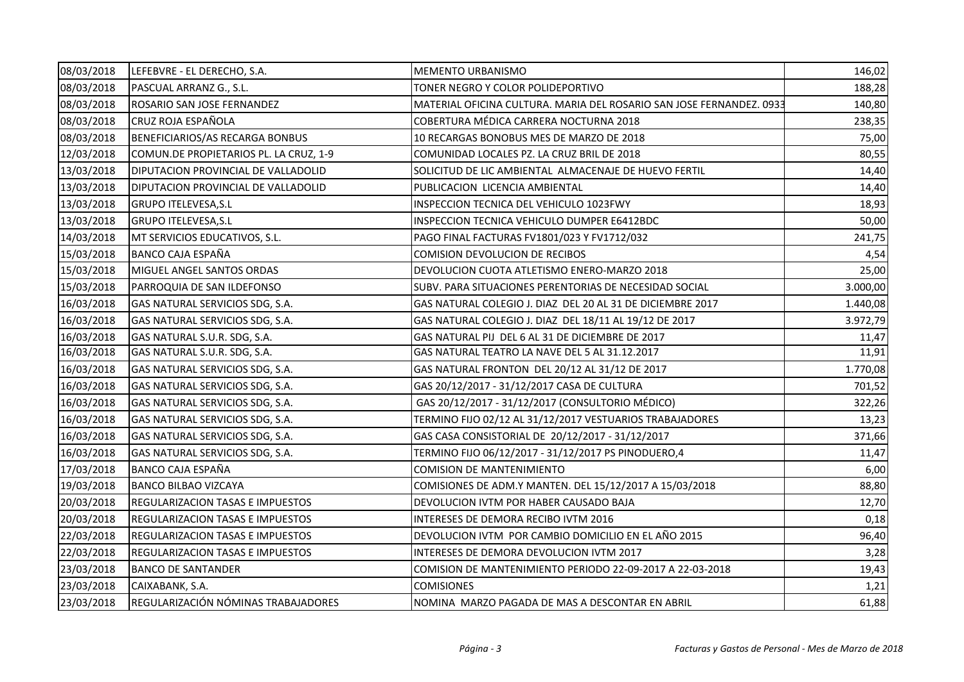| 08/03/2018 | LEFEBVRE - EL DERECHO, S.A.             | <b>MEMENTO URBANISMO</b>                                             | 146,02   |
|------------|-----------------------------------------|----------------------------------------------------------------------|----------|
| 08/03/2018 | PASCUAL ARRANZ G., S.L.                 | TONER NEGRO Y COLOR POLIDEPORTIVO                                    | 188,28   |
| 08/03/2018 | ROSARIO SAN JOSE FERNANDEZ              | MATERIAL OFICINA CULTURA. MARIA DEL ROSARIO SAN JOSE FERNANDEZ. 0933 | 140,80   |
| 08/03/2018 | <b>CRUZ ROJA ESPAÑOLA</b>               | COBERTURA MÉDICA CARRERA NOCTURNA 2018                               | 238,35   |
| 08/03/2018 | BENEFICIARIOS/AS RECARGA BONBUS         | 10 RECARGAS BONOBUS MES DE MARZO DE 2018                             | 75,00    |
| 12/03/2018 | COMUN.DE PROPIETARIOS PL. LA CRUZ, 1-9  | COMUNIDAD LOCALES PZ. LA CRUZ BRIL DE 2018                           | 80,55    |
| 13/03/2018 | DIPUTACION PROVINCIAL DE VALLADOLID     | SOLICITUD DE LIC AMBIENTAL ALMACENAJE DE HUEVO FERTIL                | 14,40    |
| 13/03/2018 | DIPUTACION PROVINCIAL DE VALLADOLID     | PUBLICACION LICENCIA AMBIENTAL                                       | 14,40    |
| 13/03/2018 | <b>GRUPO ITELEVESA, S.L</b>             | INSPECCION TECNICA DEL VEHICULO 1023FWY                              | 18,93    |
| 13/03/2018 | <b>GRUPO ITELEVESA, S.L</b>             | INSPECCION TECNICA VEHICULO DUMPER E6412BDC                          | 50,00    |
| 14/03/2018 | MT SERVICIOS EDUCATIVOS, S.L.           | PAGO FINAL FACTURAS FV1801/023 Y FV1712/032                          | 241,75   |
| 15/03/2018 | <b>BANCO CAJA ESPAÑA</b>                | <b>COMISION DEVOLUCION DE RECIBOS</b>                                | 4,54     |
| 15/03/2018 | MIGUEL ANGEL SANTOS ORDAS               | DEVOLUCION CUOTA ATLETISMO ENERO-MARZO 2018                          | 25,00    |
| 15/03/2018 | PARROQUIA DE SAN ILDEFONSO              | SUBV. PARA SITUACIONES PERENTORIAS DE NECESIDAD SOCIAL               | 3.000,00 |
| 16/03/2018 | GAS NATURAL SERVICIOS SDG, S.A.         | GAS NATURAL COLEGIO J. DIAZ DEL 20 AL 31 DE DICIEMBRE 2017           | 1.440,08 |
| 16/03/2018 | GAS NATURAL SERVICIOS SDG, S.A.         | GAS NATURAL COLEGIO J. DIAZ DEL 18/11 AL 19/12 DE 2017               | 3.972,79 |
| 16/03/2018 | GAS NATURAL S.U.R. SDG, S.A.            | GAS NATURAL PIJ DEL 6 AL 31 DE DICIEMBRE DE 2017                     | 11,47    |
| 16/03/2018 | GAS NATURAL S.U.R. SDG, S.A.            | GAS NATURAL TEATRO LA NAVE DEL 5 AL 31.12.2017                       | 11,91    |
| 16/03/2018 | GAS NATURAL SERVICIOS SDG, S.A.         | GAS NATURAL FRONTON DEL 20/12 AL 31/12 DE 2017                       | 1.770,08 |
| 16/03/2018 | GAS NATURAL SERVICIOS SDG, S.A.         | GAS 20/12/2017 - 31/12/2017 CASA DE CULTURA                          | 701,52   |
| 16/03/2018 | GAS NATURAL SERVICIOS SDG, S.A.         | GAS 20/12/2017 - 31/12/2017 (CONSULTORIO MÉDICO)                     | 322,26   |
| 16/03/2018 | GAS NATURAL SERVICIOS SDG, S.A.         | TERMINO FIJO 02/12 AL 31/12/2017 VESTUARIOS TRABAJADORES             | 13,23    |
| 16/03/2018 | GAS NATURAL SERVICIOS SDG, S.A.         | GAS CASA CONSISTORIAL DE 20/12/2017 - 31/12/2017                     | 371,66   |
| 16/03/2018 | GAS NATURAL SERVICIOS SDG, S.A.         | TERMINO FIJO 06/12/2017 - 31/12/2017 PS PINODUERO,4                  | 11,47    |
| 17/03/2018 | <b>BANCO CAJA ESPAÑA</b>                | <b>COMISION DE MANTENIMIENTO</b>                                     | 6,00     |
| 19/03/2018 | <b>BANCO BILBAO VIZCAYA</b>             | COMISIONES DE ADM.Y MANTEN. DEL 15/12/2017 A 15/03/2018              | 88,80    |
| 20/03/2018 | <b>REGULARIZACION TASAS E IMPUESTOS</b> | DEVOLUCION IVTM POR HABER CAUSADO BAJA                               | 12,70    |
| 20/03/2018 | <b>REGULARIZACION TASAS E IMPUESTOS</b> | INTERESES DE DEMORA RECIBO IVTM 2016                                 | 0,18     |
| 22/03/2018 | <b>REGULARIZACION TASAS E IMPUESTOS</b> | DEVOLUCION IVTM POR CAMBIO DOMICILIO EN EL AÑO 2015                  | 96,40    |
| 22/03/2018 | <b>REGULARIZACION TASAS E IMPUESTOS</b> | INTERESES DE DEMORA DEVOLUCION IVTM 2017                             | 3,28     |
| 23/03/2018 | <b>BANCO DE SANTANDER</b>               | COMISION DE MANTENIMIENTO PERIODO 22-09-2017 A 22-03-2018            | 19,43    |
| 23/03/2018 | CAIXABANK, S.A.                         | <b>COMISIONES</b>                                                    | 1,21     |
| 23/03/2018 | REGULARIZACIÓN NÓMINAS TRABAJADORES     | NOMINA MARZO PAGADA DE MAS A DESCONTAR EN ABRIL                      | 61,88    |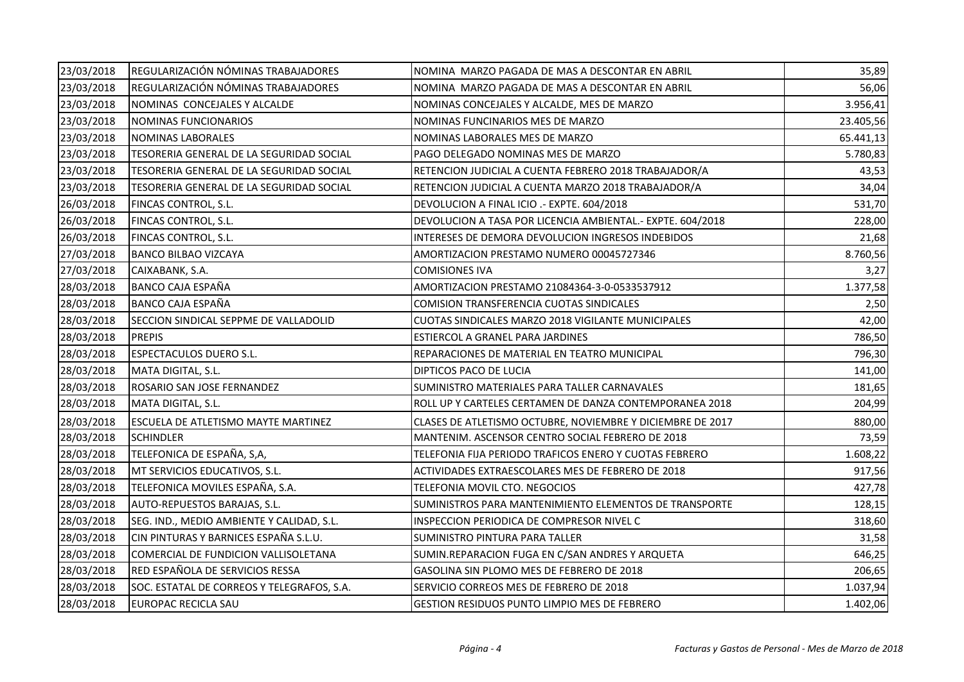| 23/03/2018 | REGULARIZACIÓN NÓMINAS TRABAJADORES        | NOMINA MARZO PAGADA DE MAS A DESCONTAR EN ABRIL            | 35,89     |
|------------|--------------------------------------------|------------------------------------------------------------|-----------|
| 23/03/2018 | REGULARIZACIÓN NÓMINAS TRABAJADORES        | NOMINA MARZO PAGADA DE MAS A DESCONTAR EN ABRIL            | 56,06     |
| 23/03/2018 | NOMINAS CONCEJALES Y ALCALDE               | NOMINAS CONCEJALES Y ALCALDE, MES DE MARZO                 | 3.956,41  |
| 23/03/2018 | NOMINAS FUNCIONARIOS                       | NOMINAS FUNCINARIOS MES DE MARZO                           | 23.405,56 |
| 23/03/2018 | <b>NOMINAS LABORALES</b>                   | NOMINAS LABORALES MES DE MARZO                             | 65.441,13 |
| 23/03/2018 | TESORERIA GENERAL DE LA SEGURIDAD SOCIAL   | PAGO DELEGADO NOMINAS MES DE MARZO                         | 5.780,83  |
| 23/03/2018 | TESORERIA GENERAL DE LA SEGURIDAD SOCIAL   | RETENCION JUDICIAL A CUENTA FEBRERO 2018 TRABAJADOR/A      | 43,53     |
| 23/03/2018 | TESORERIA GENERAL DE LA SEGURIDAD SOCIAL   | RETENCION JUDICIAL A CUENTA MARZO 2018 TRABAJADOR/A        | 34,04     |
| 26/03/2018 | FINCAS CONTROL, S.L.                       | DEVOLUCION A FINAL ICIO .- EXPTE. 604/2018                 | 531,70    |
| 26/03/2018 | FINCAS CONTROL, S.L.                       | DEVOLUCION A TASA POR LICENCIA AMBIENTAL.- EXPTE. 604/2018 | 228,00    |
| 26/03/2018 | FINCAS CONTROL, S.L.                       | INTERESES DE DEMORA DEVOLUCION INGRESOS INDEBIDOS          | 21,68     |
| 27/03/2018 | <b>BANCO BILBAO VIZCAYA</b>                | AMORTIZACION PRESTAMO NUMERO 00045727346                   | 8.760,56  |
| 27/03/2018 | CAIXABANK, S.A.                            | <b>COMISIONES IVA</b>                                      | 3,27      |
| 28/03/2018 | <b>BANCO CAJA ESPAÑA</b>                   | AMORTIZACION PRESTAMO 21084364-3-0-0533537912              | 1.377,58  |
| 28/03/2018 | <b>BANCO CAJA ESPAÑA</b>                   | COMISION TRANSFERENCIA CUOTAS SINDICALES                   | 2,50      |
| 28/03/2018 | SECCION SINDICAL SEPPME DE VALLADOLID      | CUOTAS SINDICALES MARZO 2018 VIGILANTE MUNICIPALES         | 42,00     |
| 28/03/2018 | <b>PREPIS</b>                              | ESTIERCOL A GRANEL PARA JARDINES                           | 786,50    |
| 28/03/2018 | <b>ESPECTACULOS DUERO S.L.</b>             | REPARACIONES DE MATERIAL EN TEATRO MUNICIPAL               | 796,30    |
| 28/03/2018 | MATA DIGITAL, S.L.                         | DIPTICOS PACO DE LUCIA                                     | 141,00    |
| 28/03/2018 | ROSARIO SAN JOSE FERNANDEZ                 | SUMINISTRO MATERIALES PARA TALLER CARNAVALES               | 181,65    |
| 28/03/2018 | MATA DIGITAL, S.L.                         | ROLL UP Y CARTELES CERTAMEN DE DANZA CONTEMPORANEA 2018    | 204,99    |
| 28/03/2018 | <b>ESCUELA DE ATLETISMO MAYTE MARTINEZ</b> | CLASES DE ATLETISMO OCTUBRE, NOVIEMBRE Y DICIEMBRE DE 2017 | 880,00    |
| 28/03/2018 | <b>SCHINDLER</b>                           | MANTENIM. ASCENSOR CENTRO SOCIAL FEBRERO DE 2018           | 73,59     |
| 28/03/2018 | TELEFONICA DE ESPAÑA, S,A,                 | TELEFONIA FIJA PERIODO TRAFICOS ENERO Y CUOTAS FEBRERO     | 1.608,22  |
| 28/03/2018 | MT SERVICIOS EDUCATIVOS, S.L.              | ACTIVIDADES EXTRAESCOLARES MES DE FEBRERO DE 2018          | 917,56    |
| 28/03/2018 | TELEFONICA MOVILES ESPAÑA, S.A.            | TELEFONIA MOVIL CTO. NEGOCIOS                              | 427,78    |
| 28/03/2018 | AUTO-REPUESTOS BARAJAS, S.L.               | SUMINISTROS PARA MANTENIMIENTO ELEMENTOS DE TRANSPORTE     | 128,15    |
| 28/03/2018 | SEG. IND., MEDIO AMBIENTE Y CALIDAD, S.L.  | INSPECCION PERIODICA DE COMPRESOR NIVEL C                  | 318,60    |
| 28/03/2018 | CIN PINTURAS Y BARNICES ESPAÑA S.L.U.      | SUMINISTRO PINTURA PARA TALLER                             | 31,58     |
| 28/03/2018 | COMERCIAL DE FUNDICION VALLISOLETANA       | SUMIN.REPARACION FUGA EN C/SAN ANDRES Y ARQUETA            | 646,25    |
| 28/03/2018 | RED ESPAÑOLA DE SERVICIOS RESSA            | GASOLINA SIN PLOMO MES DE FEBRERO DE 2018                  | 206,65    |
| 28/03/2018 | SOC. ESTATAL DE CORREOS Y TELEGRAFOS, S.A. | SERVICIO CORREOS MES DE FEBRERO DE 2018                    | 1.037,94  |
| 28/03/2018 | <b>EUROPAC RECICLA SAU</b>                 | GESTION RESIDUOS PUNTO LIMPIO MES DE FEBRERO               | 1.402,06  |